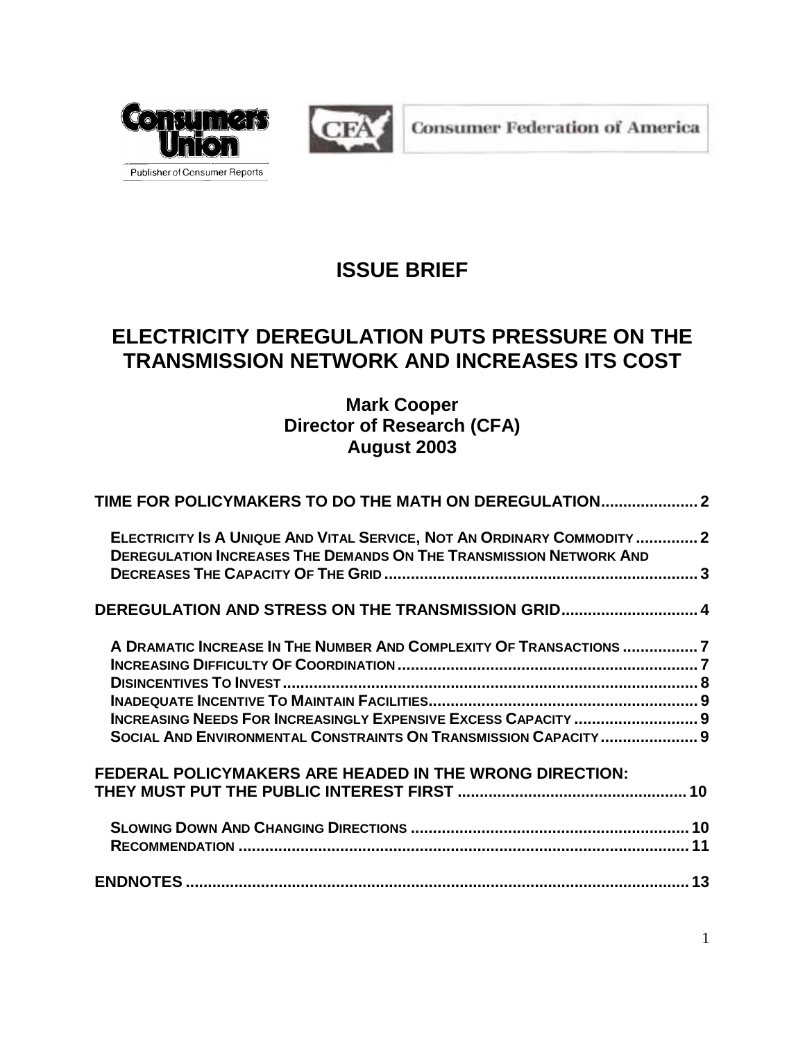



**Consumer Federation of America** 

# **ISSUE BRIEF**

# **ELECTRICITY DEREGULATION PUTS PRESSURE ON THE TRANSMISSION NETWORK AND INCREASES ITS COST**

# **Mark Cooper Director of Research (CFA) August 2003**

| TIME FOR POLICYMAKERS TO DO THE MATH ON DEREGULATION 2                    |  |
|---------------------------------------------------------------------------|--|
| ELECTRICITY IS A UNIQUE AND VITAL SERVICE, NOT AN ORDINARY COMMODITY 2    |  |
| <b>DEREGULATION INCREASES THE DEMANDS ON THE TRANSMISSION NETWORK AND</b> |  |
| DEREGULATION AND STRESS ON THE TRANSMISSION GRID 4                        |  |
| A DRAMATIC INCREASE IN THE NUMBER AND COMPLEXITY OF TRANSACTIONS 7        |  |
|                                                                           |  |
|                                                                           |  |
|                                                                           |  |
| INCREASING NEEDS FOR INCREASINGLY EXPENSIVE EXCESS CAPACITY  9            |  |
| SOCIAL AND ENVIRONMENTAL CONSTRAINTS ON TRANSMISSION CAPACITY 9           |  |
| FEDERAL POLICYMAKERS ARE HEADED IN THE WRONG DIRECTION:                   |  |
|                                                                           |  |
|                                                                           |  |
|                                                                           |  |
|                                                                           |  |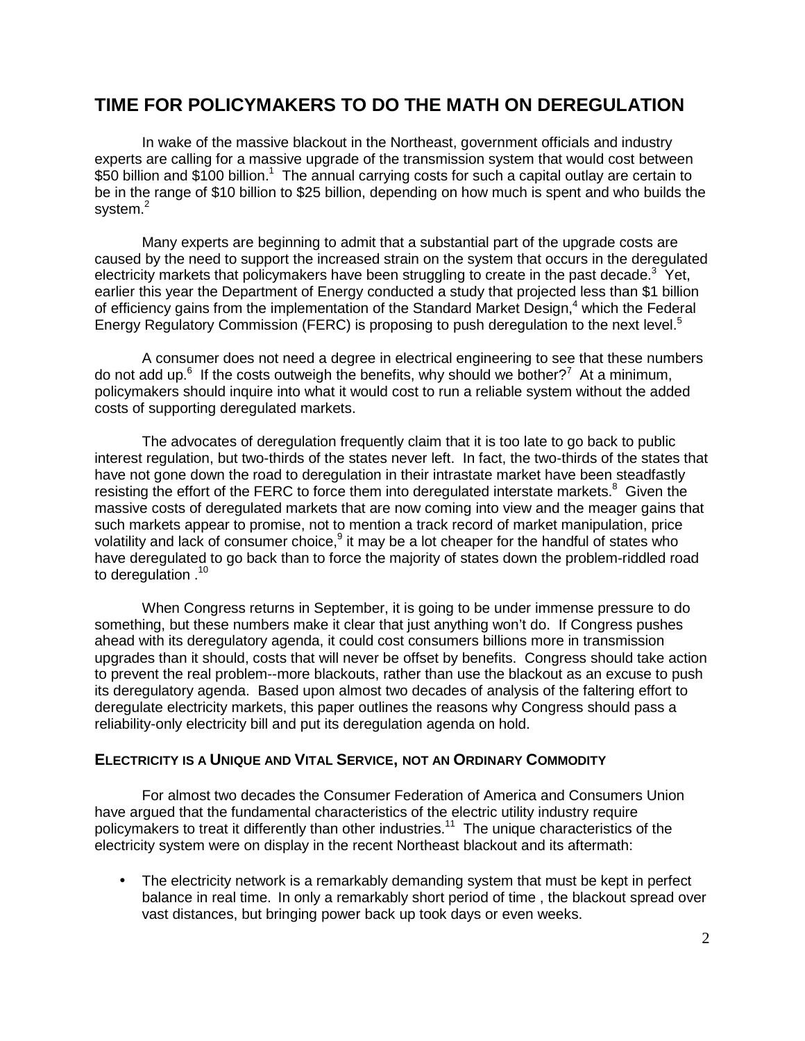# **TIME FOR POLICYMAKERS TO DO THE MATH ON DEREGULATION**

In wake of the massive blackout in the Northeast, government officials and industry experts are calling for a massive upgrade of the transmission system that would cost between \$50 billion and \$100 billion.<sup>1</sup> The annual carrying costs for such a capital outlay are certain to be in the range of \$10 billion to \$25 billion, depending on how much is spent and who builds the system. $^2$ 

Many experts are beginning to admit that a substantial part of the upgrade costs are caused by the need to support the increased strain on the system that occurs in the deregulated electricity markets that policymakers have been struggling to create in the past decade.<sup>3</sup> Yet, earlier this year the Department of Energy conducted a study that projected less than \$1 billion of efficiency gains from the implementation of the Standard Market Design,<sup>4</sup> which the Federal Energy Regulatory Commission (FERC) is proposing to push deregulation to the next level.<sup>5</sup>

A consumer does not need a degree in electrical engineering to see that these numbers do not add up. $6$  If the costs outweigh the benefits, why should we bother?<sup>7</sup> At a minimum, policymakers should inquire into what it would cost to run a reliable system without the added costs of supporting deregulated markets.

The advocates of deregulation frequently claim that it is too late to go back to public interest regulation, but two-thirds of the states never left. In fact, the two-thirds of the states that have not gone down the road to deregulation in their intrastate market have been steadfastly resisting the effort of the FERC to force them into deregulated interstate markets. $8$  Given the massive costs of deregulated markets that are now coming into view and the meager gains that such markets appear to promise, not to mention a track record of market manipulation, price volatility and lack of consumer choice, $9$  it may be a lot cheaper for the handful of states who have deregulated to go back than to force the majority of states down the problem-riddled road to deregulation .<sup>10</sup>

When Congress returns in September, it is going to be under immense pressure to do something, but these numbers make it clear that just anything won't do. If Congress pushes ahead with its deregulatory agenda, it could cost consumers billions more in transmission upgrades than it should, costs that will never be offset by benefits. Congress should take action to prevent the real problem--more blackouts, rather than use the blackout as an excuse to push its deregulatory agenda. Based upon almost two decades of analysis of the faltering effort to deregulate electricity markets, this paper outlines the reasons why Congress should pass a reliability-only electricity bill and put its deregulation agenda on hold.

#### **ELECTRICITY IS A UNIQUE AND VITAL SERVICE, NOT AN ORDINARY COMMODITY**

For almost two decades the Consumer Federation of America and Consumers Union have argued that the fundamental characteristics of the electric utility industry require policymakers to treat it differently than other industries.<sup>11</sup> The unique characteristics of the electricity system were on display in the recent Northeast blackout and its aftermath:

• The electricity network is a remarkably demanding system that must be kept in perfect balance in real time. In only a remarkably short period of time , the blackout spread over vast distances, but bringing power back up took days or even weeks.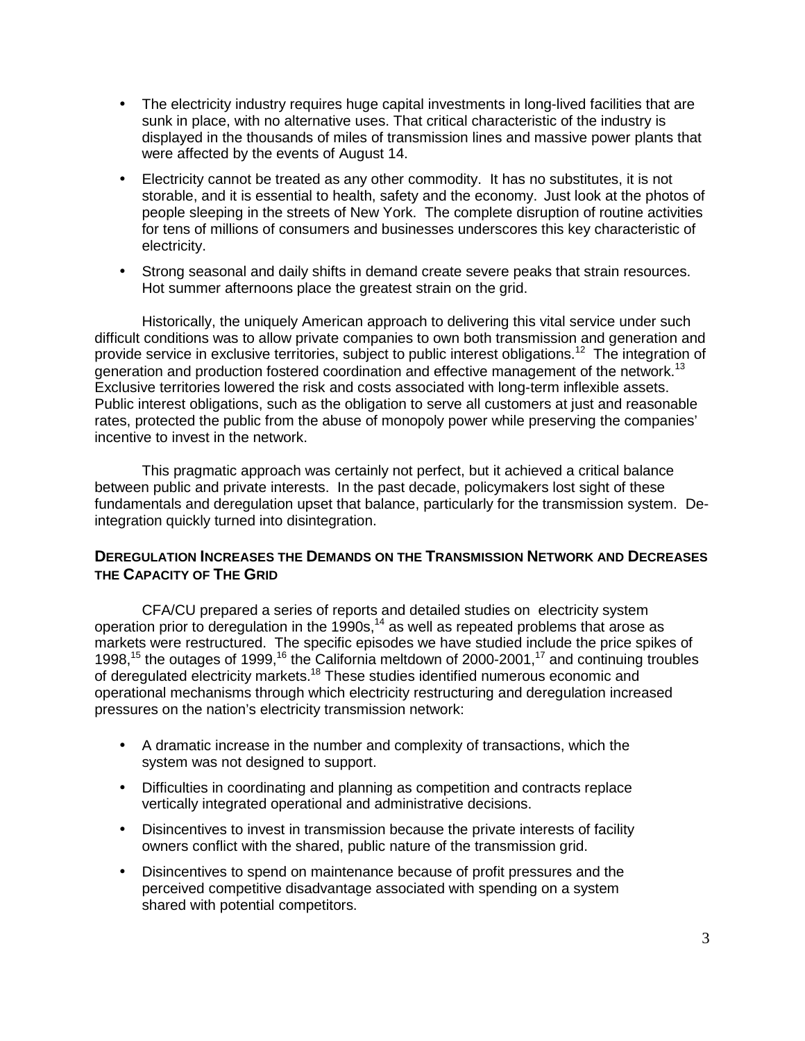- The electricity industry requires huge capital investments in long-lived facilities that are sunk in place, with no alternative uses. That critical characteristic of the industry is displayed in the thousands of miles of transmission lines and massive power plants that were affected by the events of August 14.
- Electricity cannot be treated as any other commodity. It has no substitutes, it is not storable, and it is essential to health, safety and the economy. Just look at the photos of people sleeping in the streets of New York. The complete disruption of routine activities for tens of millions of consumers and businesses underscores this key characteristic of electricity.
- Strong seasonal and daily shifts in demand create severe peaks that strain resources. Hot summer afternoons place the greatest strain on the grid.

Historically, the uniquely American approach to delivering this vital service under such difficult conditions was to allow private companies to own both transmission and generation and provide service in exclusive territories, subject to public interest obligations.12 The integration of generation and production fostered coordination and effective management of the network.<sup>13</sup> Exclusive territories lowered the risk and costs associated with long-term inflexible assets. Public interest obligations, such as the obligation to serve all customers at just and reasonable rates, protected the public from the abuse of monopoly power while preserving the companies' incentive to invest in the network.

This pragmatic approach was certainly not perfect, but it achieved a critical balance between public and private interests. In the past decade, policymakers lost sight of these fundamentals and deregulation upset that balance, particularly for the transmission system. Deintegration quickly turned into disintegration.

#### **DEREGULATION INCREASES THE DEMANDS ON THE TRANSMISSION NETWORK AND DECREASES THE CAPACITY OF THE GRID**

CFA/CU prepared a series of reports and detailed studies on electricity system operation prior to deregulation in the  $1990s$ ,<sup>14</sup> as well as repeated problems that arose as markets were restructured. The specific episodes we have studied include the price spikes of 1998,<sup>15</sup> the outages of 1999,<sup>16</sup> the California meltdown of 2000-2001,<sup>17</sup> and continuing troubles of deregulated electricity markets.18 These studies identified numerous economic and operational mechanisms through which electricity restructuring and deregulation increased pressures on the nation's electricity transmission network:

- A dramatic increase in the number and complexity of transactions, which the system was not designed to support.
- Difficulties in coordinating and planning as competition and contracts replace vertically integrated operational and administrative decisions.
- Disincentives to invest in transmission because the private interests of facility owners conflict with the shared, public nature of the transmission grid.
- Disincentives to spend on maintenance because of profit pressures and the perceived competitive disadvantage associated with spending on a system shared with potential competitors.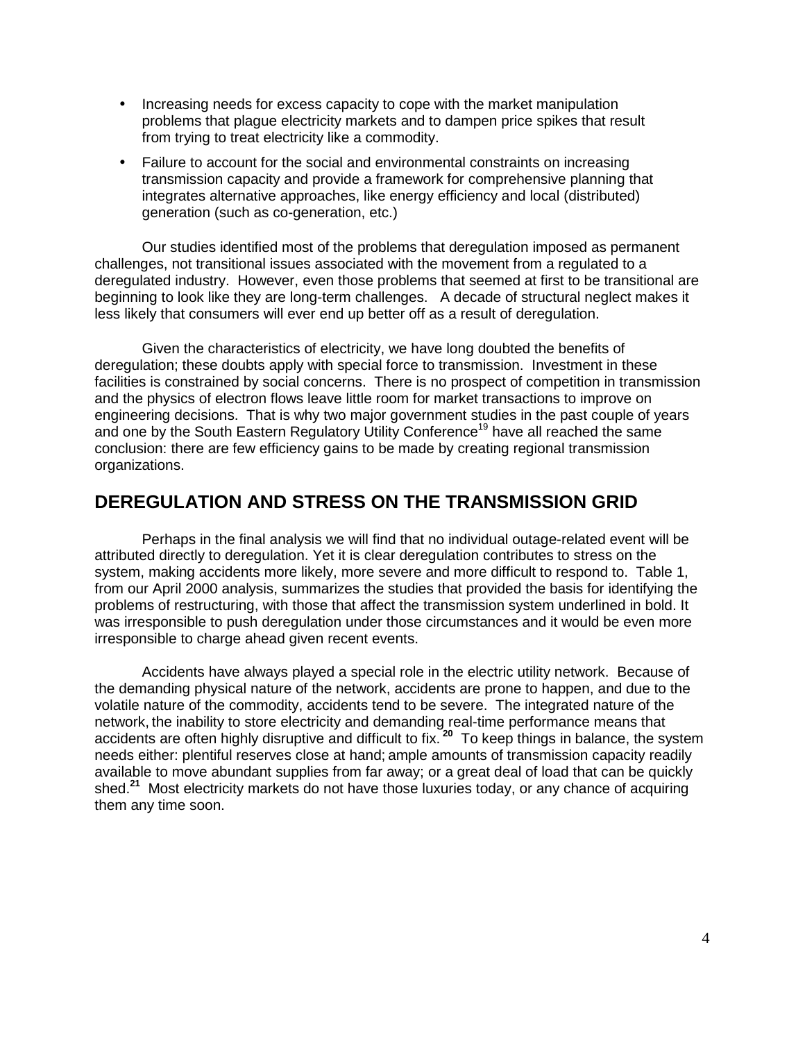- Increasing needs for excess capacity to cope with the market manipulation problems that plague electricity markets and to dampen price spikes that result from trying to treat electricity like a commodity.
- Failure to account for the social and environmental constraints on increasing transmission capacity and provide a framework for comprehensive planning that integrates alternative approaches, like energy efficiency and local (distributed) generation (such as co-generation, etc.)

Our studies identified most of the problems that deregulation imposed as permanent challenges, not transitional issues associated with the movement from a regulated to a deregulated industry. However, even those problems that seemed at first to be transitional are beginning to look like they are long-term challenges. A decade of structural neglect makes it less likely that consumers will ever end up better off as a result of deregulation.

Given the characteristics of electricity, we have long doubted the benefits of deregulation; these doubts apply with special force to transmission. Investment in these facilities is constrained by social concerns. There is no prospect of competition in transmission and the physics of electron flows leave little room for market transactions to improve on engineering decisions. That is why two major government studies in the past couple of years and one by the South Eastern Regulatory Utility Conference<sup>19</sup> have all reached the same conclusion: there are few efficiency gains to be made by creating regional transmission organizations.

### **DEREGULATION AND STRESS ON THE TRANSMISSION GRID**

Perhaps in the final analysis we will find that no individual outage-related event will be attributed directly to deregulation. Yet it is clear deregulation contributes to stress on the system, making accidents more likely, more severe and more difficult to respond to. Table 1, from our April 2000 analysis, summarizes the studies that provided the basis for identifying the problems of restructuring, with those that affect the transmission system underlined in bold. It was irresponsible to push deregulation under those circumstances and it would be even more irresponsible to charge ahead given recent events.

Accidents have always played a special role in the electric utility network. Because of the demanding physical nature of the network, accidents are prone to happen, and due to the volatile nature of the commodity, accidents tend to be severe. The integrated nature of the network, the inability to store electricity and demanding real-time performance means that accidents are often highly disruptive and difficult to fix.**<sup>20</sup>** To keep things in balance, the system needs either: plentiful reserves close at hand; ample amounts of transmission capacity readily available to move abundant supplies from far away; or a great deal of load that can be quickly shed.**<sup>21</sup>** Most electricity markets do not have those luxuries today, or any chance of acquiring them any time soon.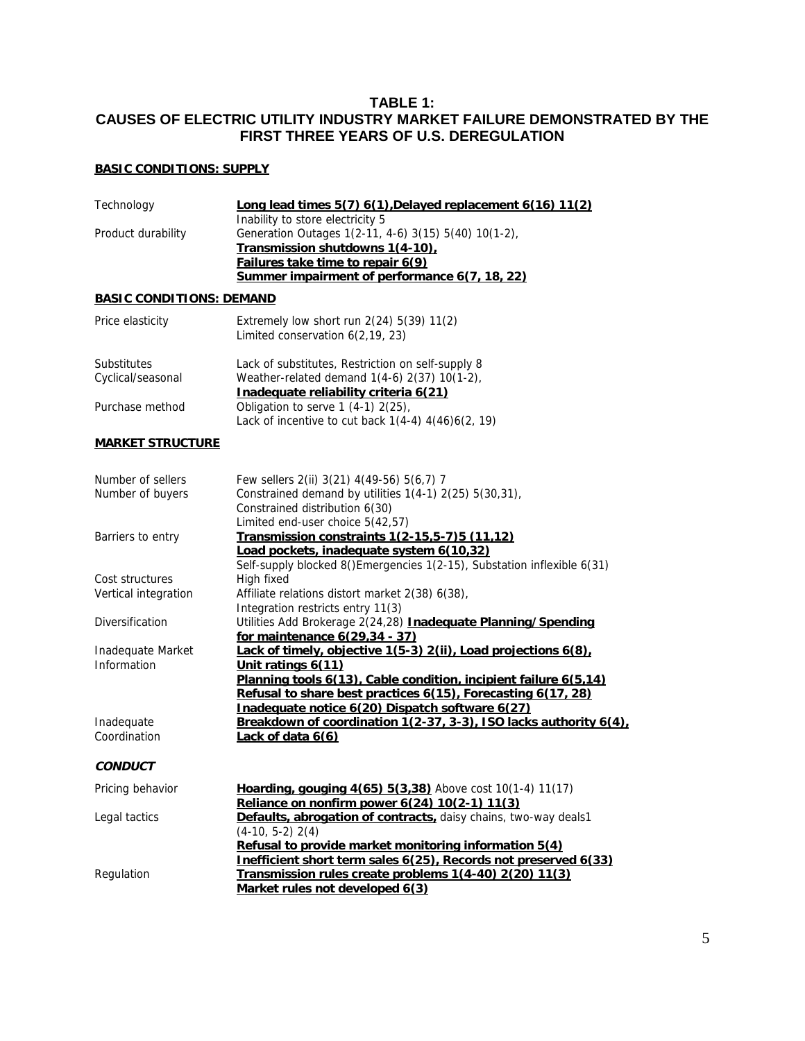#### **TABLE 1: CAUSES OF ELECTRIC UTILITY INDUSTRY MARKET FAILURE DEMONSTRATED BY THE FIRST THREE YEARS OF U.S. DEREGULATION**

#### **BASIC CONDITIONS: SUPPLY**

| Technology                      | Long lead times 5(7) 6(1), Delayed replacement 6(16) 11(2)<br>Inability to store electricity 5                                   |  |
|---------------------------------|----------------------------------------------------------------------------------------------------------------------------------|--|
| Product durability              | Generation Outages 1(2-11, 4-6) 3(15) 5(40) 10(1-2),                                                                             |  |
|                                 | Transmission shutdowns 1(4-10).<br>Failures take time to repair 6(9)                                                             |  |
|                                 | Summer impairment of performance 6(7, 18, 22)                                                                                    |  |
| <b>BASIC CONDITIONS: DEMAND</b> |                                                                                                                                  |  |
| Price elasticity                | Extremely low short run $2(24)$ 5(39) 11(2)<br>Limited conservation 6(2,19, 23)                                                  |  |
| Substitutes                     | Lack of substitutes, Restriction on self-supply 8                                                                                |  |
| Cyclical/seasonal               | Weather-related demand 1(4-6) 2(37) 10(1-2),<br>Inadequate reliability criteria 6(21)                                            |  |
| Purchase method                 | Obligation to serve 1 (4-1) 2(25),<br>Lack of incentive to cut back $1(4-4)$ $4(46)6(2, 19)$                                     |  |
| <b>MARKET STRUCTURE</b>         |                                                                                                                                  |  |
| Number of sellers               | Few sellers 2(ii) 3(21) 4(49-56) 5(6,7) 7                                                                                        |  |
| Number of buyers                | Constrained demand by utilities 1(4-1) 2(25) 5(30,31),                                                                           |  |
|                                 | Constrained distribution 6(30)<br>Limited end-user choice 5(42,57)                                                               |  |
| Barriers to entry               | Transmission constraints 1(2-15,5-7)5 (11,12)                                                                                    |  |
|                                 | Load pockets, inadequate system 6(10,32)                                                                                         |  |
| Cost structures                 | Self-supply blocked 8()Emergencies 1(2-15), Substation inflexible 6(31)<br>High fixed                                            |  |
| Vertical integration            | Affiliate relations distort market 2(38) 6(38),                                                                                  |  |
|                                 | Integration restricts entry 11(3)                                                                                                |  |
| Diversification                 | Utilities Add Brokerage 2(24,28) Inadequate Planning/Spending<br>for maintenance 6(29,34 - 37)                                   |  |
| Inadequate Market               | Lack of timely, objective 1(5-3) 2(ii), Load projections 6(8).                                                                   |  |
| Information                     | Unit ratings 6(11)                                                                                                               |  |
|                                 | Planning tools 6(13), Cable condition, incipient failure 6(5,14)<br>Refusal to share best practices 6(15), Forecasting 6(17, 28) |  |
|                                 | Inadequate notice 6(20) Dispatch software 6(27)                                                                                  |  |
| Inadequate                      | Breakdown of coordination 1(2-37, 3-3), ISO lacks authority 6(4),                                                                |  |
| Coordination                    | Lack of data $6(6)$                                                                                                              |  |
| <b>CONDUCT</b>                  |                                                                                                                                  |  |
| Pricing behavior                | Hoarding, gouging 4(65) 5(3,38) Above cost 10(1-4) 11(17)<br>Reliance on nonfirm power 6(24) 10(2-1) 11(3)                       |  |
| Legal tactics                   | Defaults, abrogation of contracts, daisy chains, two-way deals1                                                                  |  |
|                                 | $(4-10, 5-2)$ 2(4)                                                                                                               |  |
|                                 | Refusal to provide market monitoring information 5(4)<br>Inefficient short term sales 6(25), Records not preserved 6(33)         |  |
| Regulation                      | Transmission rules create problems 1(4-40) 2(20) 11(3)                                                                           |  |
|                                 | Market rules not developed 6(3)                                                                                                  |  |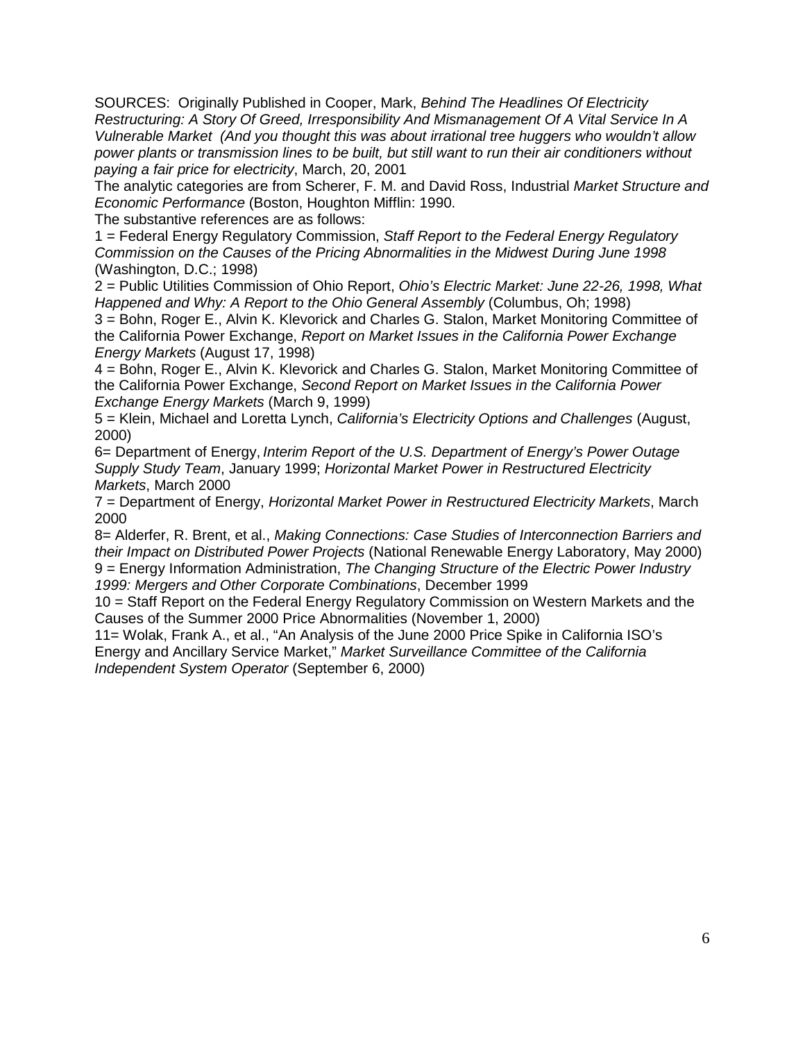SOURCES: Originally Published in Cooper, Mark, *Behind The Headlines Of Electricity Restructuring: A Story Of Greed, Irresponsibility And Mismanagement Of A Vital Service In A Vulnerable Market (And you thought this was about irrational tree huggers who wouldn't allow power plants or transmission lines to be built, but still want to run their air conditioners without paying a fair price for electricity*, March, 20, 2001

The analytic categories are from Scherer, F. M. and David Ross, Industrial *Market Structure and Economic Performance* (Boston, Houghton Mifflin: 1990.

The substantive references are as follows:

1 = Federal Energy Regulatory Commission, *Staff Report to the Federal Energy Regulatory Commission on the Causes of the Pricing Abnormalities in the Midwest During June 1998* (Washington, D.C.; 1998)

2 = Public Utilities Commission of Ohio Report, *Ohio's Electric Market: June 22-26, 1998, What Happened and Why: A Report to the Ohio General Assembly* (Columbus, Oh; 1998)

3 = Bohn, Roger E., Alvin K. Klevorick and Charles G. Stalon, Market Monitoring Committee of the California Power Exchange, *Report on Market Issues in the California Power Exchange Energy Markets* (August 17, 1998)

4 = Bohn, Roger E., Alvin K. Klevorick and Charles G. Stalon, Market Monitoring Committee of the California Power Exchange, *Second Report on Market Issues in the California Power Exchange Energy Markets* (March 9, 1999)

5 = Klein, Michael and Loretta Lynch, *California's Electricity Options and Challenges* (August, 2000)

6= Department of Energy, *Interim Report of the U.S. Department of Energy's Power Outage Supply Study Team*, January 1999; *Horizontal Market Power in Restructured Electricity Markets*, March 2000

7 = Department of Energy, *Horizontal Market Power in Restructured Electricity Markets*, March 2000

8= Alderfer, R. Brent, et al., *Making Connections: Case Studies of Interconnection Barriers and their Impact on Distributed Power Projects* (National Renewable Energy Laboratory, May 2000) 9 = Energy Information Administration, *The Changing Structure of the Electric Power Industry 1999: Mergers and Other Corporate Combinations*, December 1999

10 = Staff Report on the Federal Energy Regulatory Commission on Western Markets and the Causes of the Summer 2000 Price Abnormalities (November 1, 2000)

11= Wolak, Frank A., et al., "An Analysis of the June 2000 Price Spike in California ISO's Energy and Ancillary Service Market," *Market Surveillance Committee of the California Independent System Operator* (September 6, 2000)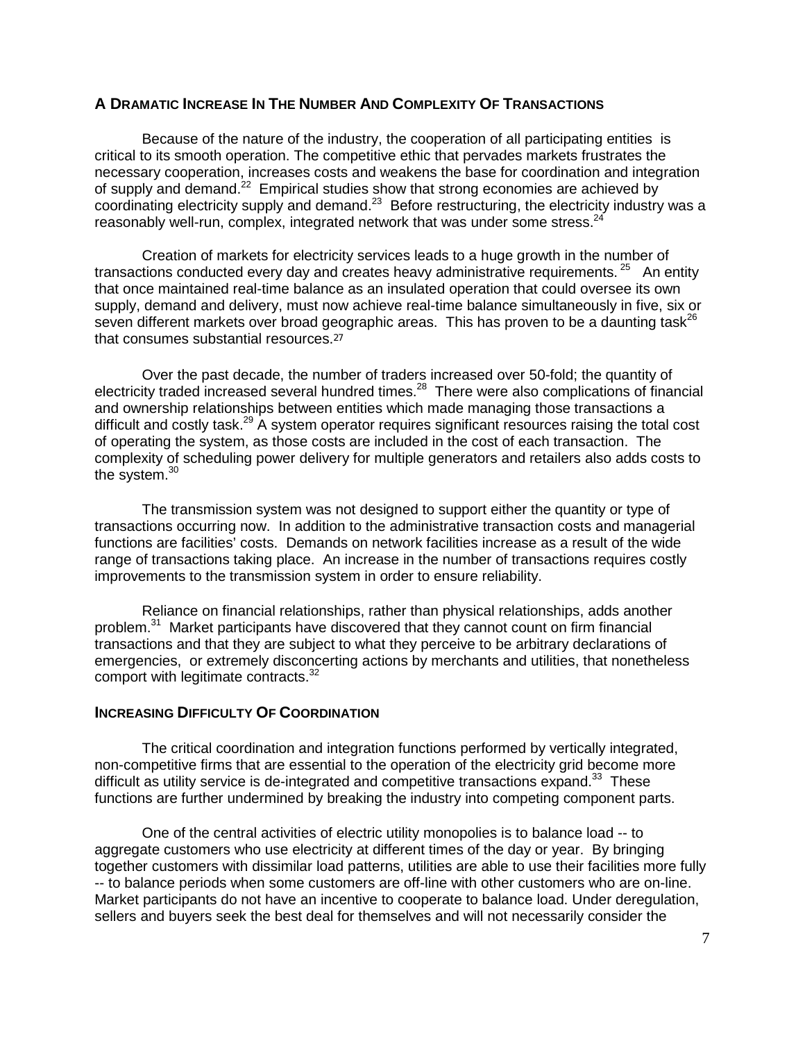#### **A DRAMATIC INCREASE IN THE NUMBER AND COMPLEXITY OF TRANSACTIONS**

Because of the nature of the industry, the cooperation of all participating entities is critical to its smooth operation. The competitive ethic that pervades markets frustrates the necessary cooperation, increases costs and weakens the base for coordination and integration of supply and demand.22 Empirical studies show that strong economies are achieved by coordinating electricity supply and demand.<sup>23</sup> Before restructuring, the electricity industry was a reasonably well-run, complex, integrated network that was under some stress.<sup>24</sup>

Creation of markets for electricity services leads to a huge growth in the number of transactions conducted every day and creates heavy administrative requirements.  $25$  An entity that once maintained real-time balance as an insulated operation that could oversee its own supply, demand and delivery, must now achieve real-time balance simultaneously in five, six or seven different markets over broad geographic areas. This has proven to be a daunting task<sup>26</sup> that consumes substantial resources.<sup>27</sup>

Over the past decade, the number of traders increased over 50-fold; the quantity of electricity traded increased several hundred times.<sup>28</sup> There were also complications of financial and ownership relationships between entities which made managing those transactions a difficult and costly task.<sup>29</sup> A system operator requires significant resources raising the total cost of operating the system, as those costs are included in the cost of each transaction. The complexity of scheduling power delivery for multiple generators and retailers also adds costs to the system.<sup>30</sup>

The transmission system was not designed to support either the quantity or type of transactions occurring now. In addition to the administrative transaction costs and managerial functions are facilities' costs. Demands on network facilities increase as a result of the wide range of transactions taking place. An increase in the number of transactions requires costly improvements to the transmission system in order to ensure reliability.

Reliance on financial relationships, rather than physical relationships, adds another problem.31 Market participants have discovered that they cannot count on firm financial transactions and that they are subject to what they perceive to be arbitrary declarations of emergencies, or extremely disconcerting actions by merchants and utilities, that nonetheless comport with legitimate contracts.<sup>32</sup>

#### **INCREASING DIFFICULTY OF COORDINATION**

The critical coordination and integration functions performed by vertically integrated, non-competitive firms that are essential to the operation of the electricity grid become more difficult as utility service is de-integrated and competitive transactions expand. $33$  These functions are further undermined by breaking the industry into competing component parts.

One of the central activities of electric utility monopolies is to balance load -- to aggregate customers who use electricity at different times of the day or year. By bringing together customers with dissimilar load patterns, utilities are able to use their facilities more fully -- to balance periods when some customers are off-line with other customers who are on-line. Market participants do not have an incentive to cooperate to balance load. Under deregulation, sellers and buyers seek the best deal for themselves and will not necessarily consider the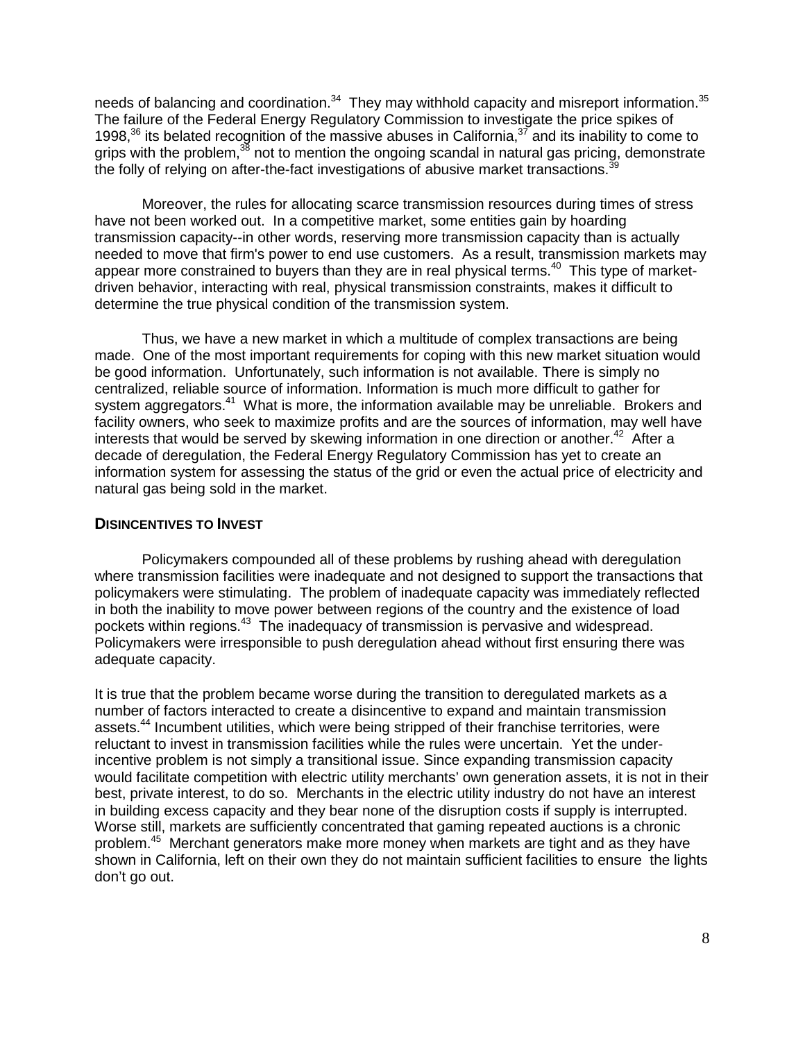needs of balancing and coordination.<sup>34</sup> They may withhold capacity and misreport information.<sup>35</sup> The failure of the Federal Energy Regulatory Commission to investigate the price spikes of 1998, $36$  its belated recognition of the massive abuses in California,  $37$  and its inability to come to grips with the problem,<sup>38</sup> not to mention the ongoing scandal in natural gas pricing, demonstrate the folly of relying on after-the-fact investigations of abusive market transactions. $3$ 

Moreover, the rules for allocating scarce transmission resources during times of stress have not been worked out. In a competitive market, some entities gain by hoarding transmission capacity--in other words, reserving more transmission capacity than is actually needed to move that firm's power to end use customers. As a result, transmission markets may appear more constrained to buyers than they are in real physical terms.<sup>40</sup> This type of marketdriven behavior, interacting with real, physical transmission constraints, makes it difficult to determine the true physical condition of the transmission system.

Thus, we have a new market in which a multitude of complex transactions are being made. One of the most important requirements for coping with this new market situation would be good information. Unfortunately, such information is not available. There is simply no centralized, reliable source of information. Information is much more difficult to gather for system aggregators.<sup>41</sup> What is more, the information available may be unreliable. Brokers and facility owners, who seek to maximize profits and are the sources of information, may well have interests that would be served by skewing information in one direction or another.<sup>42</sup> After a decade of deregulation, the Federal Energy Regulatory Commission has yet to create an information system for assessing the status of the grid or even the actual price of electricity and natural gas being sold in the market.

#### **DISINCENTIVES TO INVEST**

Policymakers compounded all of these problems by rushing ahead with deregulation where transmission facilities were inadequate and not designed to support the transactions that policymakers were stimulating. The problem of inadequate capacity was immediately reflected in both the inability to move power between regions of the country and the existence of load pockets within regions.43 The inadequacy of transmission is pervasive and widespread. Policymakers were irresponsible to push deregulation ahead without first ensuring there was adequate capacity.

It is true that the problem became worse during the transition to deregulated markets as a number of factors interacted to create a disincentive to expand and maintain transmission assets.<sup>44</sup> Incumbent utilities, which were being stripped of their franchise territories, were reluctant to invest in transmission facilities while the rules were uncertain. Yet the underincentive problem is not simply a transitional issue. Since expanding transmission capacity would facilitate competition with electric utility merchants' own generation assets, it is not in their best, private interest, to do so. Merchants in the electric utility industry do not have an interest in building excess capacity and they bear none of the disruption costs if supply is interrupted. Worse still, markets are sufficiently concentrated that gaming repeated auctions is a chronic problem.45 Merchant generators make more money when markets are tight and as they have shown in California, left on their own they do not maintain sufficient facilities to ensure the lights don't go out.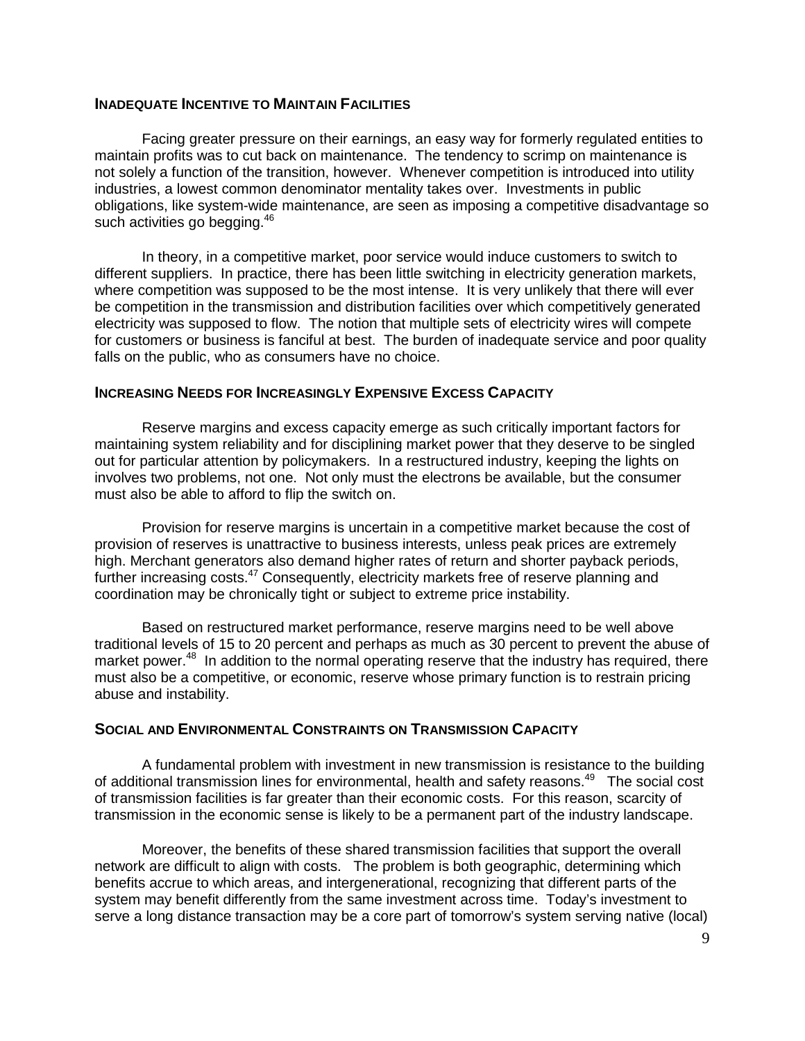#### **INADEQUATE INCENTIVE TO MAINTAIN FACILITIES**

Facing greater pressure on their earnings, an easy way for formerly regulated entities to maintain profits was to cut back on maintenance. The tendency to scrimp on maintenance is not solely a function of the transition, however. Whenever competition is introduced into utility industries, a lowest common denominator mentality takes over. Investments in public obligations, like system-wide maintenance, are seen as imposing a competitive disadvantage so such activities go begging.<sup>46</sup>

In theory, in a competitive market, poor service would induce customers to switch to different suppliers. In practice, there has been little switching in electricity generation markets, where competition was supposed to be the most intense. It is very unlikely that there will ever be competition in the transmission and distribution facilities over which competitively generated electricity was supposed to flow. The notion that multiple sets of electricity wires will compete for customers or business is fanciful at best. The burden of inadequate service and poor quality falls on the public, who as consumers have no choice.

#### **INCREASING NEEDS FOR INCREASINGLY EXPENSIVE EXCESS CAPACITY**

Reserve margins and excess capacity emerge as such critically important factors for maintaining system reliability and for disciplining market power that they deserve to be singled out for particular attention by policymakers. In a restructured industry, keeping the lights on involves two problems, not one. Not only must the electrons be available, but the consumer must also be able to afford to flip the switch on.

Provision for reserve margins is uncertain in a competitive market because the cost of provision of reserves is unattractive to business interests, unless peak prices are extremely high. Merchant generators also demand higher rates of return and shorter payback periods, further increasing costs.<sup>47</sup> Consequently, electricity markets free of reserve planning and coordination may be chronically tight or subject to extreme price instability.

Based on restructured market performance, reserve margins need to be well above traditional levels of 15 to 20 percent and perhaps as much as 30 percent to prevent the abuse of market power.<sup>48</sup> In addition to the normal operating reserve that the industry has required, there must also be a competitive, or economic, reserve whose primary function is to restrain pricing abuse and instability.

#### **SOCIAL AND ENVIRONMENTAL CONSTRAINTS ON TRANSMISSION CAPACITY**

A fundamental problem with investment in new transmission is resistance to the building of additional transmission lines for environmental, health and safety reasons.<sup>49</sup> The social cost of transmission facilities is far greater than their economic costs. For this reason, scarcity of transmission in the economic sense is likely to be a permanent part of the industry landscape.

Moreover, the benefits of these shared transmission facilities that support the overall network are difficult to align with costs. The problem is both geographic, determining which benefits accrue to which areas, and intergenerational, recognizing that different parts of the system may benefit differently from the same investment across time. Today's investment to serve a long distance transaction may be a core part of tomorrow's system serving native (local)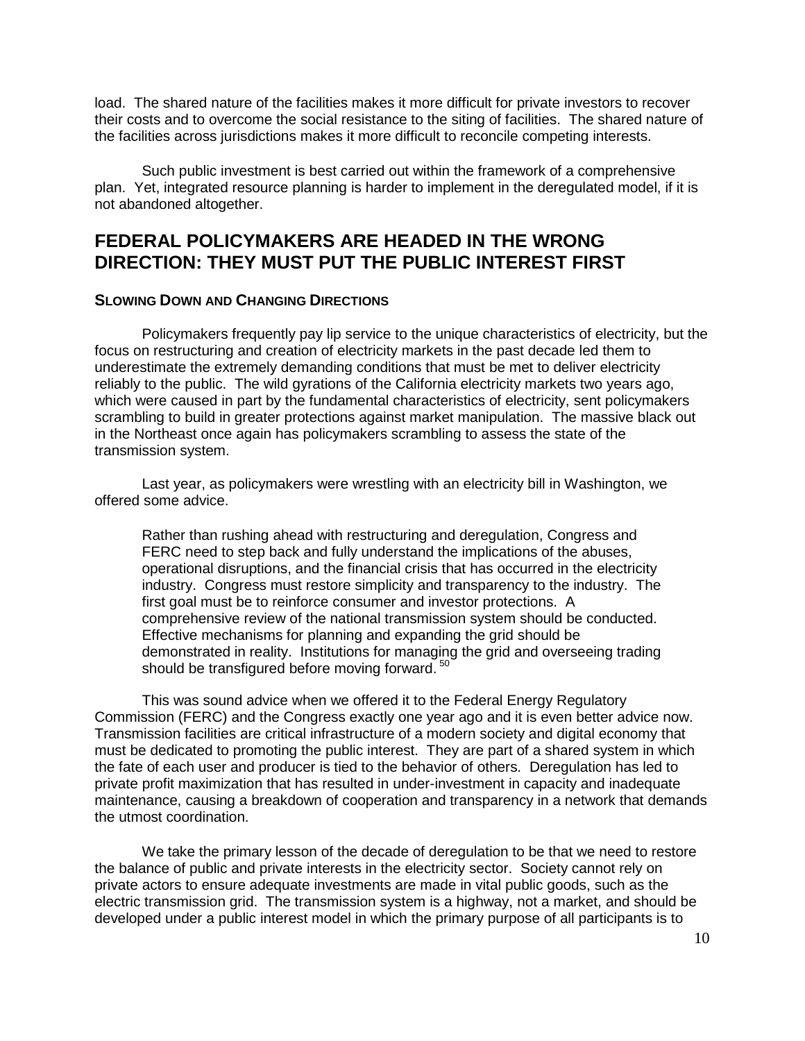load. The shared nature of the facilities makes it more difficult for private investors to recover their costs and to overcome the social resistance to the siting of facilities. The shared nature of the facilities across jurisdictions makes it more difficult to reconcile competing interests.

Such public investment is best carried out within the framework of a comprehensive plan. Yet, integrated resource planning is harder to implement in the deregulated model, if it is not abandoned altogether.

# **FEDERAL POLICYMAKERS ARE HEADED IN THE WRONG DIRECTION: THEY MUST PUT THE PUBLIC INTEREST FIRST**

#### **SLOWING DOWN AND CHANGING DIRECTIONS**

Policymakers frequently pay lip service to the unique characteristics of electricity, but the focus on restructuring and creation of electricity markets in the past decade led them to underestimate the extremely demanding conditions that must be met to deliver electricity reliably to the public. The wild gyrations of the California electricity markets two years ago, which were caused in part by the fundamental characteristics of electricity, sent policymakers scrambling to build in greater protections against market manipulation. The massive black out in the Northeast once again has policymakers scrambling to assess the state of the transmission system.

Last year, as policymakers were wrestling with an electricity bill in Washington, we offered some advice.

Rather than rushing ahead with restructuring and deregulation, Congress and FERC need to step back and fully understand the implications of the abuses, operational disruptions, and the financial crisis that has occurred in the electricity industry. Congress must restore simplicity and transparency to the industry. The first goal must be to reinforce consumer and investor protections. A comprehensive review of the national transmission system should be conducted. Effective mechanisms for planning and expanding the grid should be demonstrated in reality. Institutions for managing the grid and overseeing trading should be transfigured before moving forward.<sup>50</sup>

This was sound advice when we offered it to the Federal Energy Regulatory Commission (FERC) and the Congress exactly one year ago and it is even better advice now. Transmission facilities are critical infrastructure of a modern society and digital economy that must be dedicated to promoting the public interest. They are part of a shared system in which the fate of each user and producer is tied to the behavior of others. Deregulation has led to private profit maximization that has resulted in under-investment in capacity and inadequate maintenance, causing a breakdown of cooperation and transparency in a network that demands the utmost coordination.

We take the primary lesson of the decade of deregulation to be that we need to restore the balance of public and private interests in the electricity sector. Society cannot rely on private actors to ensure adequate investments are made in vital public goods, such as the electric transmission grid. The transmission system is a highway, not a market, and should be developed under a public interest model in which the primary purpose of all participants is to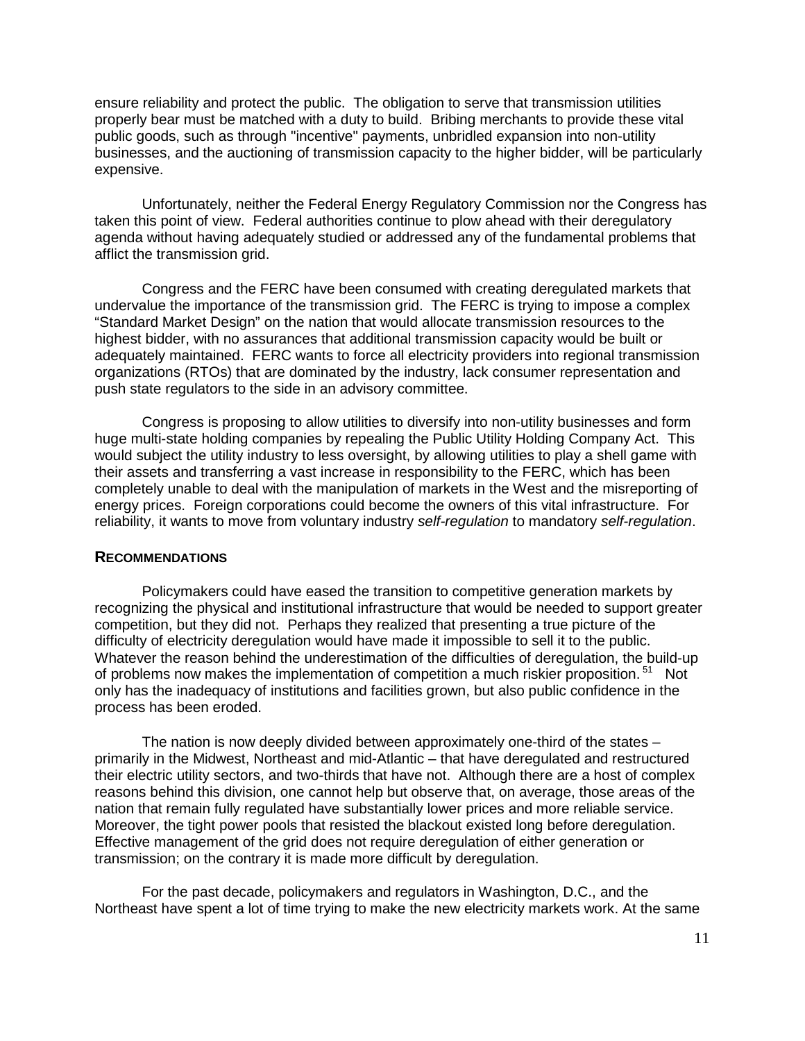ensure reliability and protect the public. The obligation to serve that transmission utilities properly bear must be matched with a duty to build. Bribing merchants to provide these vital public goods, such as through "incentive" payments, unbridled expansion into non-utility businesses, and the auctioning of transmission capacity to the higher bidder, will be particularly expensive.

Unfortunately, neither the Federal Energy Regulatory Commission nor the Congress has taken this point of view. Federal authorities continue to plow ahead with their deregulatory agenda without having adequately studied or addressed any of the fundamental problems that afflict the transmission grid.

Congress and the FERC have been consumed with creating deregulated markets that undervalue the importance of the transmission grid. The FERC is trying to impose a complex "Standard Market Design" on the nation that would allocate transmission resources to the highest bidder, with no assurances that additional transmission capacity would be built or adequately maintained. FERC wants to force all electricity providers into regional transmission organizations (RTOs) that are dominated by the industry, lack consumer representation and push state regulators to the side in an advisory committee.

Congress is proposing to allow utilities to diversify into non-utility businesses and form huge multi-state holding companies by repealing the Public Utility Holding Company Act. This would subject the utility industry to less oversight, by allowing utilities to play a shell game with their assets and transferring a vast increase in responsibility to the FERC, which has been completely unable to deal with the manipulation of markets in the West and the misreporting of energy prices. Foreign corporations could become the owners of this vital infrastructure. For reliability, it wants to move from voluntary industry *self-regulation* to mandatory *self-regulation*.

#### **RECOMMENDATIONS**

Policymakers could have eased the transition to competitive generation markets by recognizing the physical and institutional infrastructure that would be needed to support greater competition, but they did not. Perhaps they realized that presenting a true picture of the difficulty of electricity deregulation would have made it impossible to sell it to the public. Whatever the reason behind the underestimation of the difficulties of deregulation, the build-up of problems now makes the implementation of competition a much riskier proposition.<sup>51</sup> Not only has the inadequacy of institutions and facilities grown, but also public confidence in the process has been eroded.

The nation is now deeply divided between approximately one-third of the states – primarily in the Midwest, Northeast and mid-Atlantic – that have deregulated and restructured their electric utility sectors, and two-thirds that have not. Although there are a host of complex reasons behind this division, one cannot help but observe that, on average, those areas of the nation that remain fully regulated have substantially lower prices and more reliable service. Moreover, the tight power pools that resisted the blackout existed long before deregulation. Effective management of the grid does not require deregulation of either generation or transmission; on the contrary it is made more difficult by deregulation.

For the past decade, policymakers and regulators in Washington, D.C., and the Northeast have spent a lot of time trying to make the new electricity markets work. At the same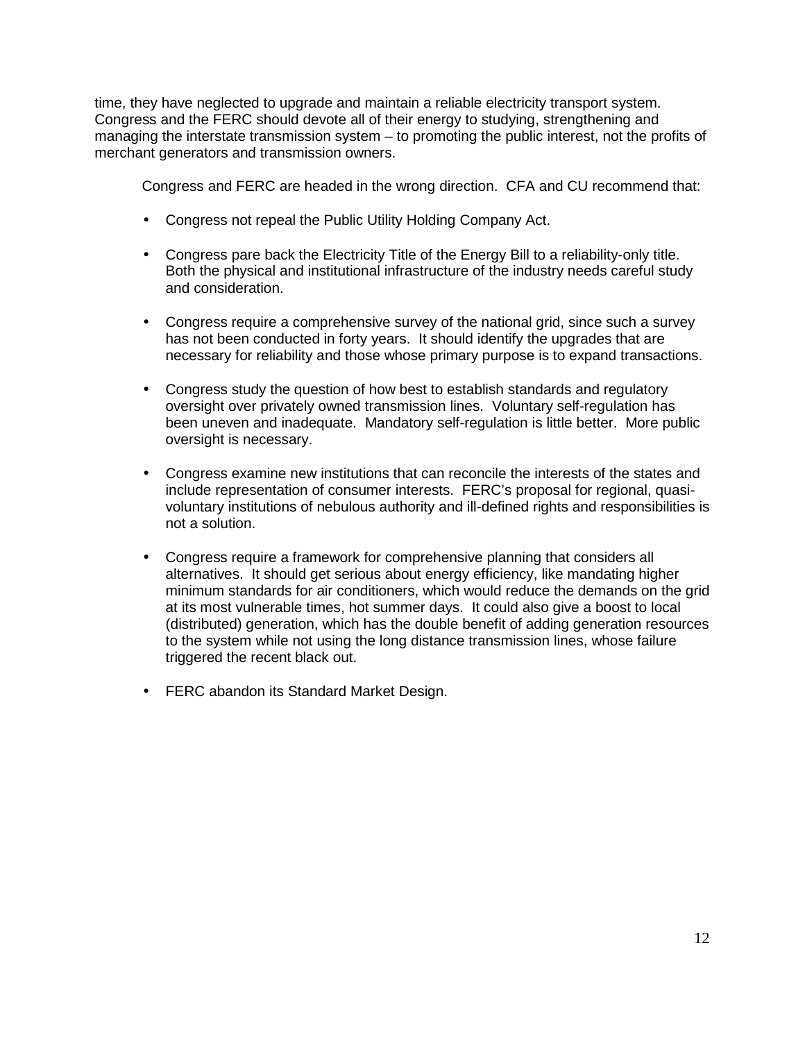time, they have neglected to upgrade and maintain a reliable electricity transport system. Congress and the FERC should devote all of their energy to studying, strengthening and managing the interstate transmission system – to promoting the public interest, not the profits of merchant generators and transmission owners.

Congress and FERC are headed in the wrong direction. CFA and CU recommend that:

- Congress not repeal the Public Utility Holding Company Act.
- Congress pare back the Electricity Title of the Energy Bill to a reliability-only title. Both the physical and institutional infrastructure of the industry needs careful study and consideration.
- Congress require a comprehensive survey of the national grid, since such a survey has not been conducted in forty years. It should identify the upgrades that are necessary for reliability and those whose primary purpose is to expand transactions.
- Congress study the question of how best to establish standards and regulatory oversight over privately owned transmission lines. Voluntary self-regulation has been uneven and inadequate. Mandatory self-regulation is little better. More public oversight is necessary.
- Congress examine new institutions that can reconcile the interests of the states and include representation of consumer interests. FERC's proposal for regional, quasivoluntary institutions of nebulous authority and ill-defined rights and responsibilities is not a solution.
- Congress require a framework for comprehensive planning that considers all alternatives. It should get serious about energy efficiency, like mandating higher minimum standards for air conditioners, which would reduce the demands on the grid at its most vulnerable times, hot summer days. It could also give a boost to local (distributed) generation, which has the double benefit of adding generation resources to the system while not using the long distance transmission lines, whose failure triggered the recent black out.
- FERC abandon its Standard Market Design.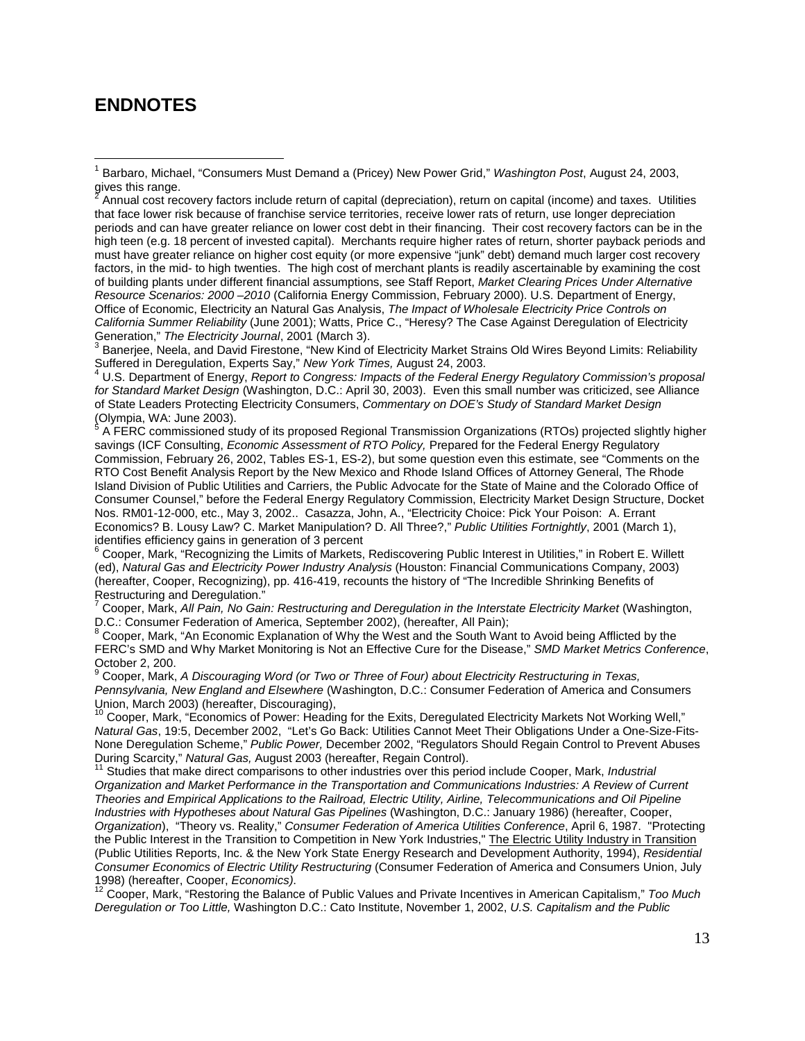### **ENDNOTES**

 $\overline{a}$ 

 $3$  Baneriee, Neela, and David Firestone, "New Kind of Electricity Market Strains Old Wires Beyond Limits: Reliability Suffered in Deregulation, Experts Say," *New York Times,* August 24, 2003. 4

 U.S. Department of Energy, *Report to Congress: Impacts of the Federal Energy Regulatory Commission's proposal for Standard Market Design* (Washington, D.C.: April 30, 2003). Even this small number was criticized, see Alliance of State Leaders Protecting Electricity Consumers, *Commentary on DOE's Study of Standard Market Design* (Olympia, WA: June 2003). 5

 A FERC commissioned study of its proposed Regional Transmission Organizations (RTOs) projected slightly higher savings (ICF Consulting, *Economic Assessment of RTO Policy,* Prepared for the Federal Energy Regulatory Commission, February 26, 2002, Tables ES-1, ES-2), but some question even this estimate, see "Comments on the RTO Cost Benefit Analysis Report by the New Mexico and Rhode Island Offices of Attorney General, The Rhode Island Division of Public Utilities and Carriers, the Public Advocate for the State of Maine and the Colorado Office of Consumer Counsel," before the Federal Energy Regulatory Commission, Electricity Market Design Structure, Docket Nos. RM01-12-000, etc., May 3, 2002.. Casazza, John, A., "Electricity Choice: Pick Your Poison: A. Errant Economics? B. Lousy Law? C. Market Manipulation? D. All Three?," *Public Utilities Fortnightly*, 2001 (March 1), identifies efficiency gains in generation of 3 percent

<sup>6</sup> Cooper, Mark, "Recognizing the Limits of Markets, Rediscovering Public Interest in Utilities," in Robert E. Willett (ed), *Natural Gas and Electricity Power Industry Analysis* (Houston: Financial Communications Company, 2003) (hereafter, Cooper, Recognizing), pp. 416-419, recounts the history of "The Incredible Shrinking Benefits of Restructuring and Deregulation."

7 Cooper, Mark, *All Pain, No Gain: Restructuring and Deregulation in the Interstate Electricity Market (Washington,* D.C.: Consumer Federation of America, September 2002), (hereafter, All Pain);

<sup>8</sup> Cooper, Mark, "An Economic Explanation of Why the West and the South Want to Avoid being Afflicted by the FERC's SMD and Why Market Monitoring is Not an Effective Cure for the Disease," *SMD Market Metrics Conference*, October 2, 200.<br><sup>9</sup> Caanar, Mark

 Cooper, Mark, *A Discouraging Word (or Two or Three of Four) about Electricity Restructuring in Texas, Pennsylvania, New England and Elsewhere* (Washington, D.C.: Consumer Federation of America and Consumers Union, March 2003) (hereafter, Discouraging),

<sup>10</sup> Cooper, Mark, "Economics of Power: Heading for the Exits, Deregulated Electricity Markets Not Working Well," *Natural Gas*, 19:5, December 2002, "Let's Go Back: Utilities Cannot Meet Their Obligations Under a One-Size-Fits-None Deregulation Scheme," *Public Power,* December 2002, "Regulators Should Regain Control to Prevent Abuses During Scarcity," *Natural Gas, August 2003* (hereafter, Regain Control).<br><sup>11</sup> Studies that make direct comparisons to other industries over this period include Cooper, Mark, *Industrial* 

*Organization and Market Performance in the Transportation and Communications Industries: A Review of Current Theories and Empirical Applications to the Railroad, Electric Utility, Airline, Telecommunications and Oil Pipeline Industries with Hypotheses about Natural Gas Pipelines* (Washington, D.C.: January 1986) (hereafter, Cooper, *Organization*), "Theory vs. Reality," *Consumer Federation of America Utilities Conference*, April 6, 1987. "Protecting the Public Interest in the Transition to Competition in New York Industries," The Electric Utility Industry in Transition (Public Utilities Reports, Inc. & the New York State Energy Research and Development Authority, 1994), *Residential Consumer Economics of Electric Utility Restructuring* (Consumer Federation of America and Consumers Union, July

1998) (hereafter, Cooper, *Economics)*.<br><sup>12</sup> Cooper, Mark, "Restoring the Balance of Public Values and Private Incentives in American Capitalism," *Too Much Deregulation or Too Little,* Washington D.C.: Cato Institute, November 1, 2002, *U.S. Capitalism and the Public* 

<sup>1</sup> Barbaro, Michael, "Consumers Must Demand a (Pricey) New Power Grid," *Washington Post*, August 24, 2003, gives this range.

Annual cost recovery factors include return of capital (depreciation), return on capital (income) and taxes. Utilities that face lower risk because of franchise service territories, receive lower rats of return, use longer depreciation periods and can have greater reliance on lower cost debt in their financing. Their cost recovery factors can be in the high teen (e.g. 18 percent of invested capital). Merchants require higher rates of return, shorter payback periods and must have greater reliance on higher cost equity (or more expensive "junk" debt) demand much larger cost recovery factors, in the mid- to high twenties. The high cost of merchant plants is readily ascertainable by examining the cost of building plants under different financial assumptions, see Staff Report, *Market Clearing Prices Under Alternative Resource Scenarios: 2000 –2010* (California Energy Commission, February 2000). U.S. Department of Energy, Office of Economic, Electricity an Natural Gas Analysis, *The Impact of Wholesale Electricity Price Controls on California Summer Reliability* (June 2001); Watts, Price C., "Heresy? The Case Against Deregulation of Electricity Generation," The Electricity Journal, 2001 (March 3).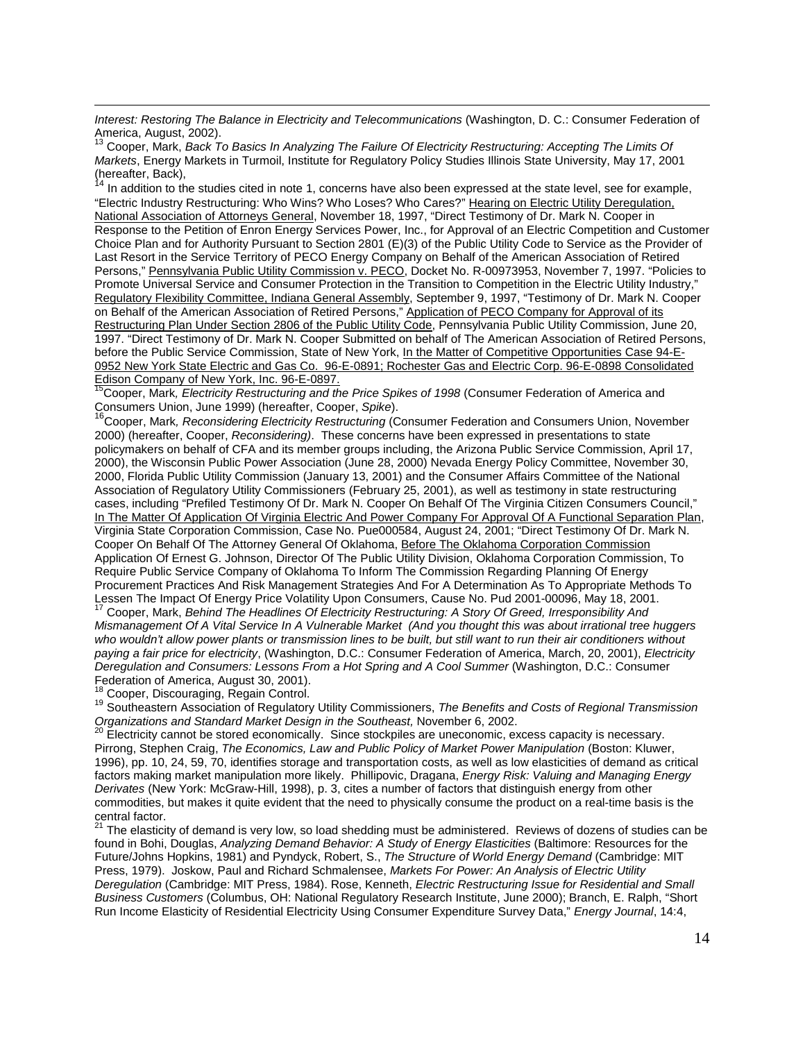*Interest: Restoring The Balance in Electricity and Telecommunications* (Washington, D. C.: Consumer Federation of America, August, 2002).

13 Cooper, Mark, *Back To Basics In Analyzing The Failure Of Electricity Restructuring: Accepting The Limits Of Markets*, Energy Markets in Turmoil, Institute for Regulatory Policy Studies Illinois State University, May 17, 2001 (hereafter, Back),

In addition to the studies cited in note 1, concerns have also been expressed at the state level, see for example, "Electric Industry Restructuring: Who Wins? Who Loses? Who Cares?" Hearing on Electric Utility Deregulation, National Association of Attorneys General, November 18, 1997, "Direct Testimony of Dr. Mark N. Cooper in Response to the Petition of Enron Energy Services Power, Inc., for Approval of an Electric Competition and Customer Choice Plan and for Authority Pursuant to Section 2801 (E)(3) of the Public Utility Code to Service as the Provider of Last Resort in the Service Territory of PECO Energy Company on Behalf of the American Association of Retired Persons," Pennsylvania Public Utility Commission v. PECO, Docket No. R-00973953, November 7, 1997. "Policies to Promote Universal Service and Consumer Protection in the Transition to Competition in the Electric Utility Industry," Regulatory Flexibility Committee, Indiana General Assembly, September 9, 1997, "Testimony of Dr. Mark N. Cooper on Behalf of the American Association of Retired Persons," Application of PECO Company for Approval of its Restructuring Plan Under Section 2806 of the Public Utility Code, Pennsylvania Public Utility Commission, June 20, 1997. "Direct Testimony of Dr. Mark N. Cooper Submitted on behalf of The American Association of Retired Persons, before the Public Service Commission, State of New York, In the Matter of Competitive Opportunities Case 94-E-0952 New York State Electric and Gas Co. 96-E-0891; Rochester Gas and Electric Corp. 96-E-0898 Consolidated Edison Company of New York, Inc. 96-E-0897.

15Cooper, Mark*, Electricity Restructuring and the Price Spikes of 1998* (Consumer Federation of America and

Consumers Union, June 1999) (hereafter, Cooper, *Spike*).<br><sup>16</sup>Cooper, Mark, Reconsidering Electricity Restructuring (Consumer Federation and Consumers Union, November 2000) (hereafter, Cooper, *Reconsidering)*. These concerns have been expressed in presentations to state policymakers on behalf of CFA and its member groups including, the Arizona Public Service Commission, April 17, 2000), the Wisconsin Public Power Association (June 28, 2000) Nevada Energy Policy Committee, November 30, 2000, Florida Public Utility Commission (January 13, 2001) and the Consumer Affairs Committee of the National Association of Regulatory Utility Commissioners (February 25, 2001), as well as testimony in state restructuring cases, including "Prefiled Testimony Of Dr. Mark N. Cooper On Behalf Of The Virginia Citizen Consumers Council," In The Matter Of Application Of Virginia Electric And Power Company For Approval Of A Functional Separation Plan, Virginia State Corporation Commission, Case No. Pue000584, August 24, 2001; "Direct Testimony Of Dr. Mark N. Cooper On Behalf Of The Attorney General Of Oklahoma, Before The Oklahoma Corporation Commission Application Of Ernest G. Johnson, Director Of The Public Utility Division, Oklahoma Corporation Commission, To Require Public Service Company of Oklahoma To Inform The Commission Regarding Planning Of Energy Procurement Practices And Risk Management Strategies And For A Determination As To Appropriate Methods To Lessen The Impact Of Energy Price Volatility Upon Consumers, Cause No. Pud 2001-00096, May 18, 2001.

17 Cooper, Mark, *Behind The Headlines Of Electricity Restructuring: A Story Of Greed, Irresponsibility And Mismanagement Of A Vital Service In A Vulnerable Market (And you thought this was about irrational tree huggers*  who wouldn't allow power plants or transmission lines to be built, but still want to run their air conditioners without *paying a fair price for electricity*, (Washington, D.C.: Consumer Federation of America, March, 20, 2001), *Electricity Deregulation and Consumers: Lessons From a Hot Spring and A Cool Summer* (Washington, D.C.: Consumer

Federation of America, August 30, 2001).<br><sup>18</sup> Cooper, Discouraging, Regain Control.

 $\overline{a}$ 

<sup>19</sup> Southeastern Association of Regulatory Utility Commissioners, The Benefits and Costs of Regional Transmission *Organizations and Standard Market Design in the Southeast, November 6, 2002.*<br><sup>20</sup> Electricity cannot be stored economically. Since stockpiles are uneconomic, excess capacity is necessary.

Pirrong, Stephen Craig, *The Economics, Law and Public Policy of Market Power Manipulation* (Boston: Kluwer, 1996), pp. 10, 24, 59, 70, identifies storage and transportation costs, as well as low elasticities of demand as critical factors making market manipulation more likely. Phillipovic, Dragana, *Energy Risk: Valuing and Managing Energy Derivates* (New York: McGraw-Hill, 1998), p. 3, cites a number of factors that distinguish energy from other commodities, but makes it quite evident that the need to physically consume the product on a real-time basis is the central factor.

<sup>21</sup> The elasticity of demand is very low, so load shedding must be administered. Reviews of dozens of studies can be found in Bohi, Douglas, *Analyzing Demand Behavior: A Study of Energy Elasticities* (Baltimore: Resources for the Future/Johns Hopkins, 1981) and Pyndyck, Robert, S., *The Structure of World Energy Demand* (Cambridge: MIT Press, 1979). Joskow, Paul and Richard Schmalensee, *Markets For Power: An Analysis of Electric Utility Deregulation* (Cambridge: MIT Press, 1984). Rose, Kenneth, *Electric Restructuring Issue for Residential and Small Business Customers* (Columbus, OH: National Regulatory Research Institute, June 2000); Branch, E. Ralph, "Short Run Income Elasticity of Residential Electricity Using Consumer Expenditure Survey Data," *Energy Journal*, 14:4,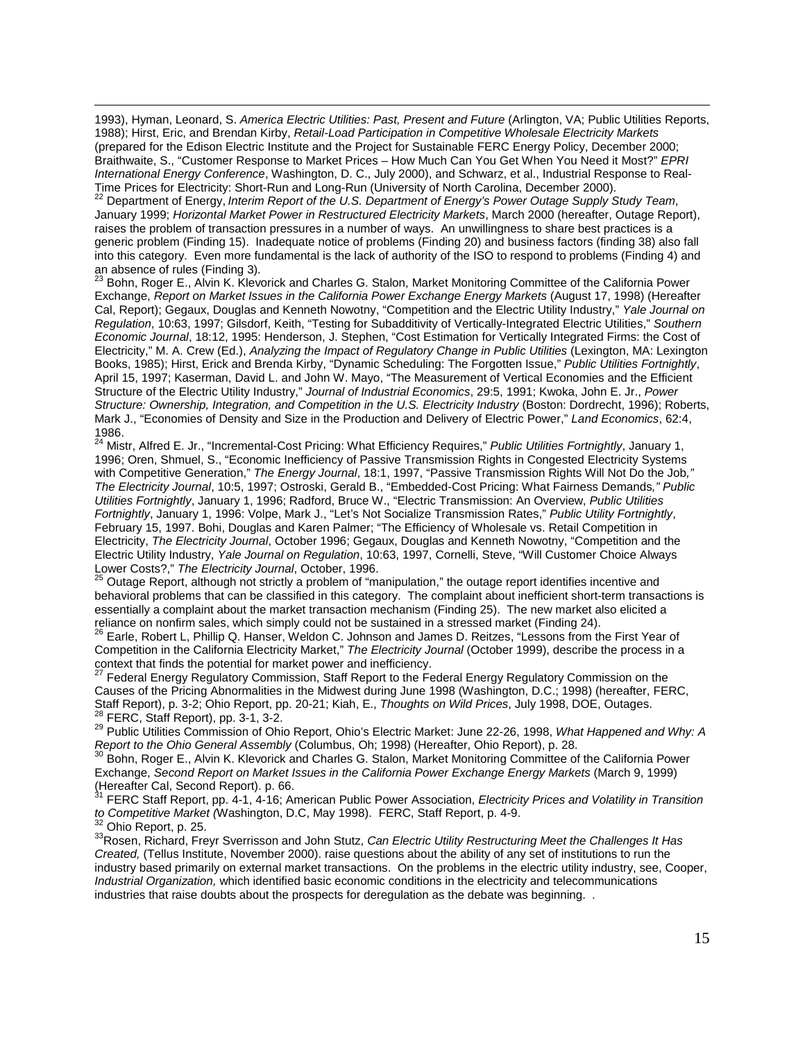1993), Hyman, Leonard, S. *America Electric Utilities: Past, Present and Future* (Arlington, VA; Public Utilities Reports, 1988); Hirst, Eric, and Brendan Kirby, *Retail-Load Participation in Competitive Wholesale Electricity Markets* (prepared for the Edison Electric Institute and the Project for Sustainable FERC Energy Policy, December 2000; Braithwaite, S., "Customer Response to Market Prices – How Much Can You Get When You Need it Most?" *EPRI International Energy Conference*, Washington, D. C., July 2000), and Schwarz, et al., Industrial Response to Real-Time Prices for Electricity: Short-Run and Long-Run (University of North Carolina, December 2000).

22 Department of Energy, *Interim Report of the U.S. Department of Energy's Power Outage Supply Study Team*, January 1999; *Horizontal Market Power in Restructured Electricity Markets*, March 2000 (hereafter, Outage Report), raises the problem of transaction pressures in a number of ways. An unwillingness to share best practices is a generic problem (Finding 15). Inadequate notice of problems (Finding 20) and business factors (finding 38) also fall into this category. Even more fundamental is the lack of authority of the ISO to respond to problems (Finding 4) and an absence of rules (Finding 3).

<sup>23</sup> Bohn, Roger E., Alvin K. Klevorick and Charles G. Stalon, Market Monitoring Committee of the California Power Exchange, *Report on Market Issues in the California Power Exchange Energy Markets* (August 17, 1998) (Hereafter Cal, Report); Gegaux, Douglas and Kenneth Nowotny, "Competition and the Electric Utility Industry," *Yale Journal on Regulation*, 10:63, 1997; Gilsdorf, Keith, "Testing for Subadditivity of Vertically-Integrated Electric Utilities," *Southern Economic Journal*, 18:12, 1995: Henderson, J. Stephen, "Cost Estimation for Vertically Integrated Firms: the Cost of Electricity," M. A. Crew (Ed.), *Analyzing the Impact of Regulatory Change in Public Utilities* (Lexington, MA: Lexington Books, 1985); Hirst, Erick and Brenda Kirby, "Dynamic Scheduling: The Forgotten Issue," *Public Utilities Fortnightly*, April 15, 1997; Kaserman, David L. and John W. Mayo, "The Measurement of Vertical Economies and the Efficient Structure of the Electric Utility Industry," *Journal of Industrial Economics*, 29:5, 1991; Kwoka, John E. Jr., *Power Structure: Ownership, Integration, and Competition in the U.S. Electricity Industry* (Boston: Dordrecht, 1996); Roberts, Mark J., "Economies of Density and Size in the Production and Delivery of Electric Power," *Land Economics*, 62:4, 1986.

24 Mistr, Alfred E. Jr., "Incremental-Cost Pricing: What Efficiency Requires," *Public Utilities Fortnightly*, January 1, 1996; Oren, Shmuel, S., "Economic Inefficiency of Passive Transmission Rights in Congested Electricity Systems with Competitive Generation," *The Energy Journal*, 18:1, 1997, "Passive Transmission Rights Will Not Do the Job*," The Electricity Journal*, 10:5, 1997; Ostroski, Gerald B., "Embedded-Cost Pricing: What Fairness Demands*," Public Utilities Fortnightly*, January 1, 1996; Radford, Bruce W., "Electric Transmission: An Overview, *Public Utilities Fortnightly*, January 1, 1996: Volpe, Mark J., "Let's Not Socialize Transmission Rates," *Public Utility Fortnightly*, February 15, 1997. Bohi, Douglas and Karen Palmer; "The Efficiency of Wholesale vs. Retail Competition in Electricity, *The Electricity Journal*, October 1996; Gegaux, Douglas and Kenneth Nowotny, "Competition and the Electric Utility Industry, *Yale Journal on Regulation*, 10:63, 1997, Cornelli, Steve, "Will Customer Choice Always Lower Costs?," The Electricity Journal, October, 1996.<br><sup>25</sup> Outage Report, although not strictly a problem of "manipulation," the outage report identifies incentive and

behavioral problems that can be classified in this category. The complaint about inefficient short-term transactions is essentially a complaint about the market transaction mechanism (Finding 25). The new market also elicited a reliance on nonfirm sales, which simply could not be sustained in a stressed market (Finding 24).

<sup>26</sup> Earle, Robert L, Phillip Q. Hanser, Weldon C. Johnson and James D. Reitzes, "Lessons from the First Year of Competition in the California Electricity Market," *The Electricity Journal* (October 1999), describe the process in a context that finds the potential for market power and inefficiency.

27 Federal Energy Regulatory Commission, Staff Report to the Federal Energy Regulatory Commission on the Causes of the Pricing Abnormalities in the Midwest during June 1998 (Washington, D.C.; 1998) (hereafter, FERC, Staff Report), p. 3-2; Ohio Report, pp. 20-21; Kiah, E., Thoughts on Wild Prices, July 1998, DOE, Outages.<br><sup>28</sup> FERC, Staff Report), pp. 3-1, 3-2.<br><sup>29</sup> Public Utilities Commission of Ohio Report, Ohio's Electric Market: Ju

*Report to the Ohio General Assembly* (Columbus, Oh; 1998) (Hereafter, Ohio Report), p. 28.<br><sup>30</sup> Bohn, Roger E., Alvin K. Klevorick and Charles G. Stalon, Market Monitoring Committee of the California Power

Exchange, *Second Report on Market Issues in the California Power Exchange Energy Markets* (March 9, 1999) (Hereafter Cal, Second Report). p. 66.

31 FERC Staff Report, pp. 4-1, 4-16; American Public Power Association, *Electricity Prices and Volatility in Transition*  to Competitive Market (Washington, D.C, May 1998). FERC, Staff Report, p. 4-9.<br><sup>32</sup> Ohio Report, p. 25.<br><sup>33</sup> Rosen, Richard, Freyr Sverrisson and John Stutz, *Can Electric Utility Restructuring Meet the Challenges It Has* 

 $\overline{a}$ 

*Created,* (Tellus Institute, November 2000). raise questions about the ability of any set of institutions to run the industry based primarily on external market transactions. On the problems in the electric utility industry, see, Cooper, *Industrial Organization,* which identified basic economic conditions in the electricity and telecommunications industries that raise doubts about the prospects for deregulation as the debate was beginning. *.*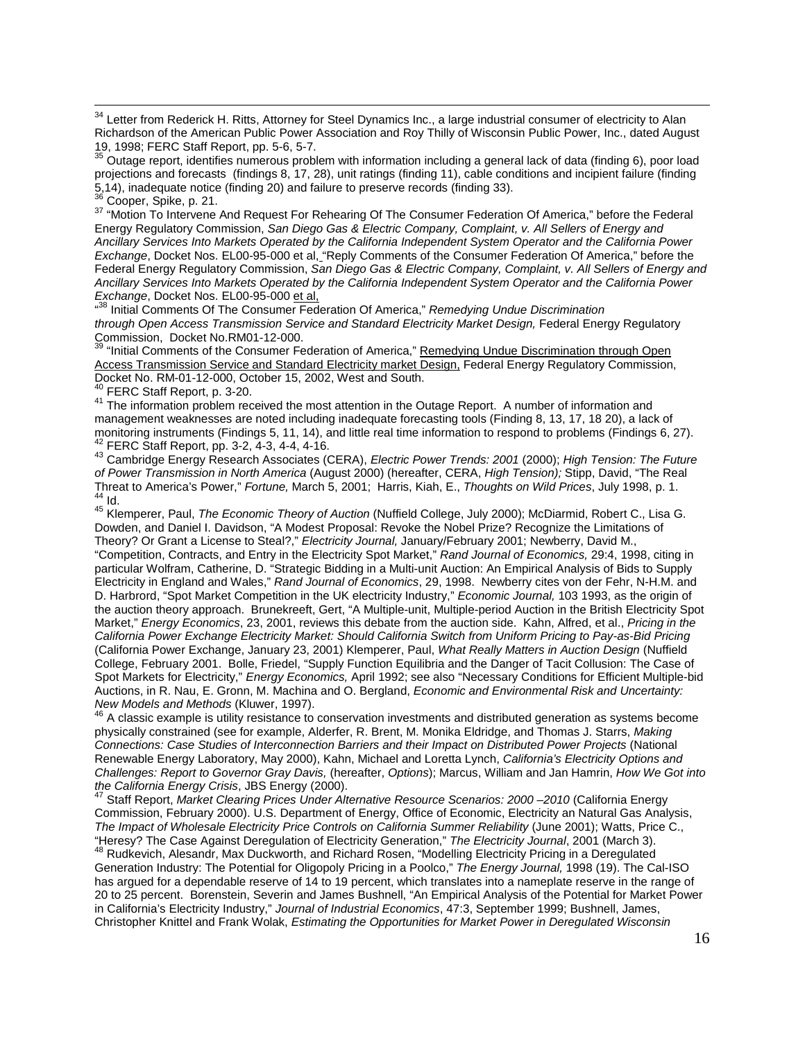<sup>34</sup> Letter from Rederick H. Ritts, Attorney for Steel Dynamics Inc., a large industrial consumer of electricity to Alan Richardson of the American Public Power Association and Roy Thilly of Wisconsin Public Power, Inc., dated August 19, 1998; FERC Staff Report, pp. 5-6, 5-7.

<sup>35</sup> Outage report, identifies numerous problem with information including a general lack of data (finding 6), poor load projections and forecasts (findings 8, 17, 28), unit ratings (finding 11), cable conditions and incipient failure (finding 5,14), inadequate notice (finding 20) and failure to preserve records (finding 33).

 $\frac{36}{37}$  Cooper, Spike, p. 21.<br><sup>37</sup> "Motion To Intervene And Request For Rehearing Of The Consumer Federation Of America," before the Federal Energy Regulatory Commission, *San Diego Gas & Electric Company, Complaint, v. All Sellers of Energy and Ancillary Services Into Markets Operated by the California Independent System Operator and the California Power Exchange*, Docket Nos. EL00-95-000 et al, "Reply Comments of the Consumer Federation Of America," before the Federal Energy Regulatory Commission, *San Diego Gas & Electric Company, Complaint, v. All Sellers of Energy and Ancillary Services Into Markets Operated by the California Independent System Operator and the California Power Exchange*, Docket Nos. EL00-95-000 et al,

<sup>438</sup> Initial Comments Of The Consumer Federation Of America," *Remedying Undue Discrimination through Open Access Transmission Service and Standard Electricity Market Design,* Federal Energy Regulatory Commission, Docket No.RM01-12-000.

<sup>39</sup> "Initial Comments of the Consumer Federation of America," Remedying Undue Discrimination through Open Access Transmission Service and Standard Electricity market Design, Federal Energy Regulatory Commission, Docket No. RM-01-12-000, October 15, 2002, West and South.<br><sup>40</sup> FERC Staff Report, p. 3-20.

<sup>41</sup> The information problem received the most attention in the Outage Report. A number of information and management weaknesses are noted including inadequate forecasting tools (Finding 8, 13, 17, 18 20), a lack of monitoring instruments (Findings 5, 11, 14), and little real time information to respond to problems (Findings 6, 27).<br><sup>42</sup> FERC Staff Report, pp. 3-2, 4-3, 4-4, 4-16.

42 FERC Staff Report, pp. 3-2, 4-3, 4-4, 4-16. 43 Cambridge Energy Research Associates (CERA), *Electric Power Trends: 2001* (2000); *High Tension: The Future of Power Transmission in North America* (August 2000) (hereafter, CERA, *High Tension);* Stipp, David, "The Real 45 Id.<br>44 Id.<br><sup>45</sup> Klemperer, Paul, *The Economic Theory of Auction* (Nuffield College, July 2000); McDiarmid, Robert C., Lisa G.

Dowden, and Daniel I. Davidson, "A Modest Proposal: Revoke the Nobel Prize? Recognize the Limitations of Theory? Or Grant a License to Steal?," *Electricity Journal,* January/February 2001; Newberry, David M., "Competition, Contracts, and Entry in the Electricity Spot Market," *Rand Journal of Economics,* 29:4, 1998, citing in particular Wolfram, Catherine, D. "Strategic Bidding in a Multi-unit Auction: An Empirical Analysis of Bids to Supply Electricity in England and Wales," *Rand Journal of Economics*, 29, 1998. Newberry cites von der Fehr, N-H.M. and D. Harbrord, "Spot Market Competition in the UK electricity Industry," *Economic Journal,* 103 1993, as the origin of the auction theory approach. Brunekreeft, Gert, "A Multiple-unit, Multiple-period Auction in the British Electricity Spot Market," *Energy Economics*, 23, 2001, reviews this debate from the auction side. Kahn, Alfred, et al., *Pricing in the California Power Exchange Electricity Market: Should California Switch from Uniform Pricing to Pay-as-Bid Pricing* (California Power Exchange, January 23, 2001) Klemperer, Paul, *What Really Matters in Auction Design* (Nuffield College, February 2001. Bolle, Friedel, "Supply Function Equilibria and the Danger of Tacit Collusion: The Case of Spot Markets for Electricity," *Energy Economics,* April 1992; see also "Necessary Conditions for Efficient Multiple-bid Auctions, in R. Nau, E. Gronn, M. Machina and O. Bergland, *Economic and Environmental Risk and Uncertainty:* 

<sup>46</sup> A classic example is utility resistance to conservation investments and distributed generation as systems become physically constrained (see for example, Alderfer, R. Brent, M. Monika Eldridge, and Thomas J. Starrs, *Making Connections: Case Studies of Interconnection Barriers and their Impact on Distributed Power Projects* (National Renewable Energy Laboratory, May 2000), Kahn, Michael and Loretta Lynch, *California's Electricity Options and Challenges: Report to Governor Gray Davis,* (hereafter, *Options*); Marcus, William and Jan Hamrin, *How We Got into* 

Staff Report, *Market Clearing Prices Under Alternative Resource Scenarios: 2000 –2010* (California Energy Commission, February 2000). U.S. Department of Energy, Office of Economic, Electricity an Natural Gas Analysis, *The Impact of Wholesale Electricity Price Controls on California Summer Reliability* (June 2001); Watts, Price C., "Heresy? The Case Against Deregulation of Electricity Generation," *The Electricity Journal*, 2001 (March 3). 48 Rudkevich, Alesandr, Max Duckworth, and Richard Rosen, "Modelling Electricity Pricing in a Deregulated Generation Industry: The Potential for Oligopoly Pricing in a Poolco," *The Energy Journal,* 1998 (19). The Cal-ISO has argued for a dependable reserve of 14 to 19 percent, which translates into a nameplate reserve in the range of 20 to 25 percent. Borenstein, Severin and James Bushnell, "An Empirical Analysis of the Potential for Market Power in California's Electricity Industry," *Journal of Industrial Economics*, 47:3, September 1999; Bushnell, James, Christopher Knittel and Frank Wolak, *Estimating the Opportunities for Market Power in Deregulated Wisconsin*